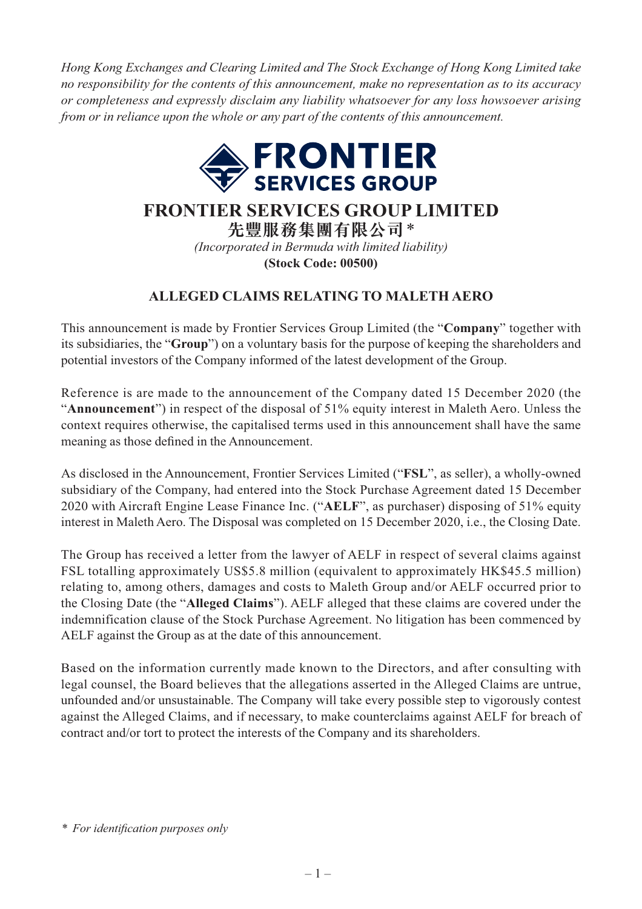*Hong Kong Exchanges and Clearing Limited and The Stock Exchange of Hong Kong Limited take no responsibility for the contents of this announcement, make no representation as to its accuracy or completeness and expressly disclaim any liability whatsoever for any loss howsoever arising from or in reliance upon the whole or any part of the contents of this announcement.*



## **FRONTIER SERVICES GROUP LIMITED**

**先豐服務集團有限公司**\* *(Incorporated in Bermuda with limited liability)* **(Stock Code: 00500)**

## **ALLEGED CLAIMS RELATING TO MALETH AERO**

This announcement is made by Frontier Services Group Limited (the "**Company**" together with its subsidiaries, the "**Group**") on a voluntary basis for the purpose of keeping the shareholders and potential investors of the Company informed of the latest development of the Group .

Reference is are made to the announcement of the Company dated 15 December 2020 (the "**Announcement**") in respect of the disposal of 51% equity interest in Maleth Aero. Unless the context requires otherwise, the capitalised terms used in this announcement shall have the same meaning as those defined in the Announcement.

As disclosed in the Announcement, Frontier Services Limited ("**FSL**", as seller), a wholly -owned subsidiary of the Company, had entered into the Stock Purchase Agreement dated 15 December 2020 with Aircraft Engine Lease Finance Inc. ("**AELF**", as purchaser) disposing of 51% equity interest in Maleth Aero. The Disposal was completed on 15 December 2020, i.e., the Closing Date.

 The Group has received a letter from the lawyer of AELF in respect of several claims against FSL totalling approximately US\$5.8 million (equivalent to approximately HK\$45.5 million) relating to, among others, damages and costs to Maleth Group and/or AELF occurred prior to the Closing Date (the "**Alleged Claims**"). AELF alleged that these claims are covered under the indemnification clause of the Stock Purchase Agreement. No litigation has been commenced by AELF against the Group as at the date of this announcement.

Based on the information currently made known to the Directors, and after consulting with legal counsel, the Board believes that the allegations asserted in the Alleged Claims are untrue, unfounded and/or unsustainable. The Company will take every possible step to vigorously contest against the Alleged Claims, and if necessary, to make counterclaims against AELF for breach of contract and/or tort to protect the interests of the Company and its shareholders.

*<sup>\*</sup> For identifi cation purposes only*